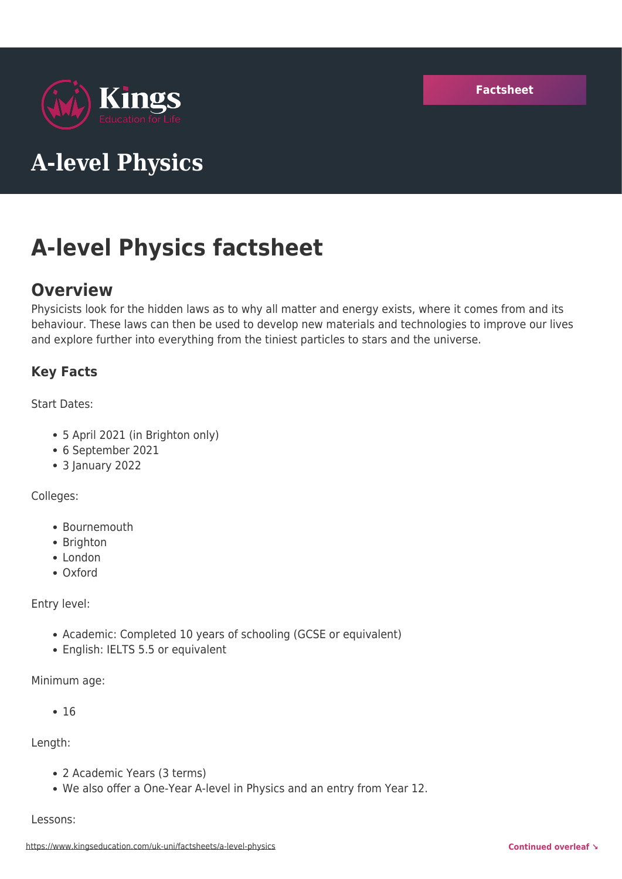

# **A-level Physics**

# **A-level Physics factsheet**

# **Overview**

Physicists look for the hidden laws as to why all matter and energy exists, where it comes from and its behaviour. These laws can then be used to develop new materials and technologies to improve our lives and explore further into everything from the tiniest particles to stars and the universe.

## **Key Facts**

Start Dates:

- 5 April 2021 (in Brighton only)
- 6 September 2021
- 3 January 2022

Colleges:

- Bournemouth
- Brighton
- London
- Oxford

Entry level:

- Academic: Completed 10 years of schooling (GCSE or equivalent)
- English: IELTS 5.5 or equivalent

Minimum age:

 $• 16$ 

Length:

- 2 Academic Years (3 terms)
- We also offer a One-Year A-level in Physics and an entry from Year 12.

Lessons: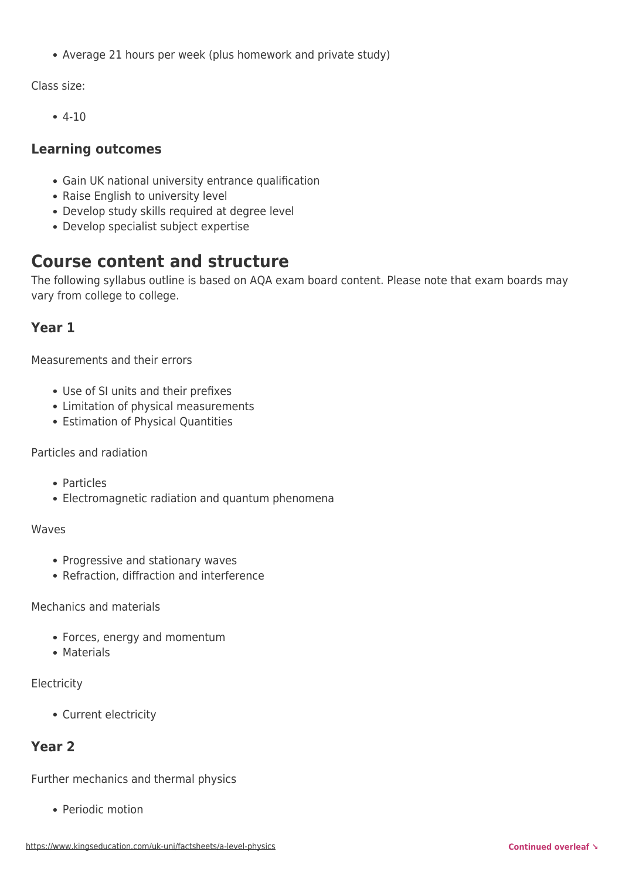Average 21 hours per week (plus homework and private study)

Class size:

 $-4-10$ 

## **Learning outcomes**

- Gain UK national university entrance qualification
- Raise English to university level
- Develop study skills required at degree level
- Develop specialist subject expertise

# **Course content and structure**

The following syllabus outline is based on AQA exam board content. Please note that exam boards may vary from college to college.

## **Year 1**

Measurements and their errors

- Use of SI units and their prefixes
- Limitation of physical measurements
- Estimation of Physical Quantities

#### Particles and radiation

- Particles
- Electromagnetic radiation and quantum phenomena

#### Waves

- Progressive and stationary waves
- Refraction, diffraction and interference

Mechanics and materials

- Forces, energy and momentum
- Materials

#### **Electricity**

Current electricity

## **Year 2**

Further mechanics and thermal physics

• Periodic motion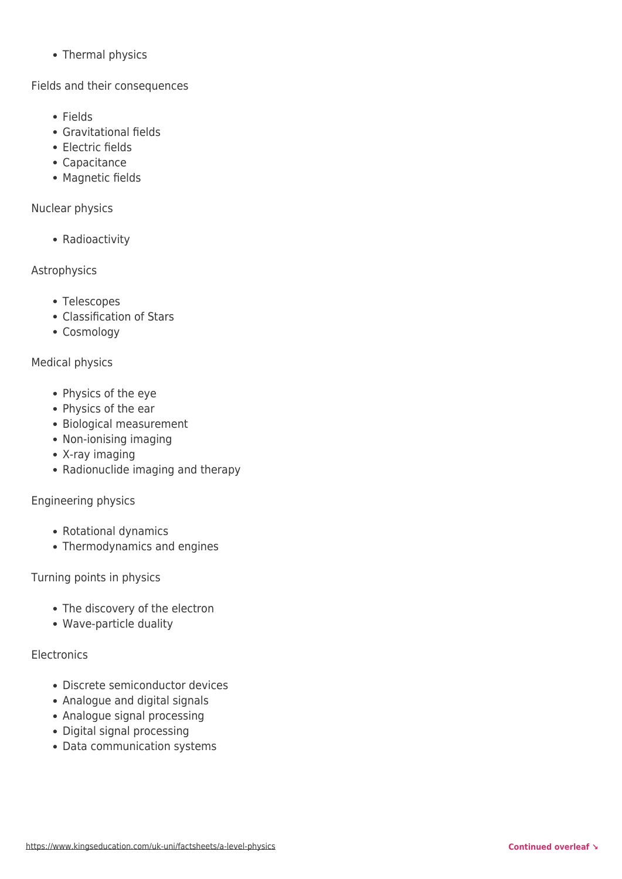• Thermal physics

Fields and their consequences

- Fields
- Gravitational fields
- Electric fields
- Capacitance
- Magnetic fields

Nuclear physics

• Radioactivity

Astrophysics

- Telescopes
- Classification of Stars
- Cosmology

#### Medical physics

- Physics of the eye
- Physics of the ear
- Biological measurement
- Non-ionising imaging
- X-ray imaging
- Radionuclide imaging and therapy

#### Engineering physics

- Rotational dynamics
- Thermodynamics and engines

Turning points in physics

- The discovery of the electron
- Wave-particle duality

#### **Electronics**

- Discrete semiconductor devices
- Analogue and digital signals
- Analogue signal processing
- Digital signal processing
- Data communication systems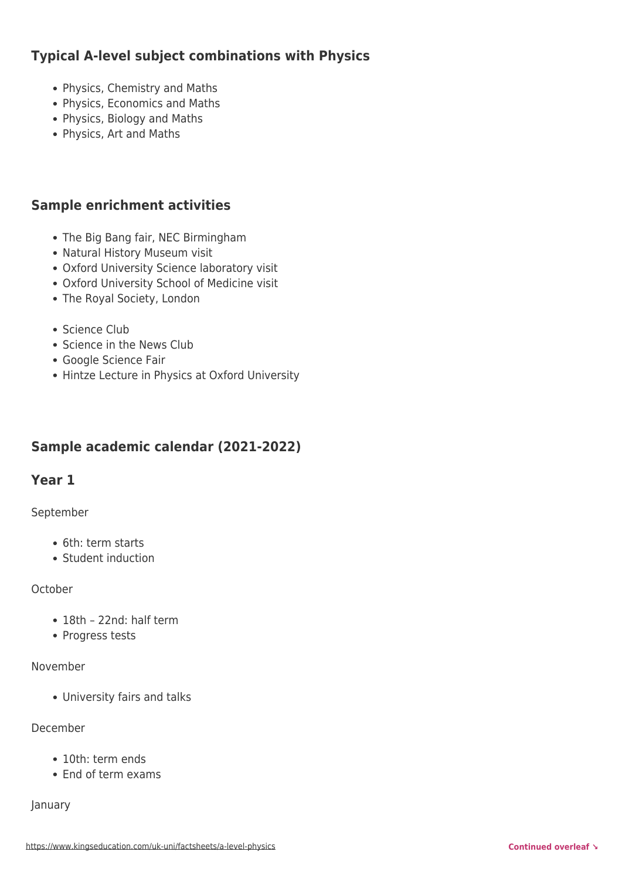## **Typical A-level subject combinations with Physics**

- Physics, Chemistry and Maths
- Physics, Economics and Maths
- Physics, Biology and Maths
- Physics, Art and Maths

## **Sample enrichment activities**

- The Big Bang fair, NEC Birmingham
- Natural History Museum visit
- Oxford University Science laboratory visit
- Oxford University School of Medicine visit
- The Royal Society, London
- Science Club
- Science in the News Club
- Google Science Fair
- Hintze Lecture in Physics at Oxford University

## **Sample academic calendar (2021-2022)**

## **Year 1**

#### September

- 6th: term starts
- Student induction

#### **October**

- 18th 22nd: half term
- Progress tests

#### November

University fairs and talks

#### December

- 10th: term ends
- End of term exams

#### January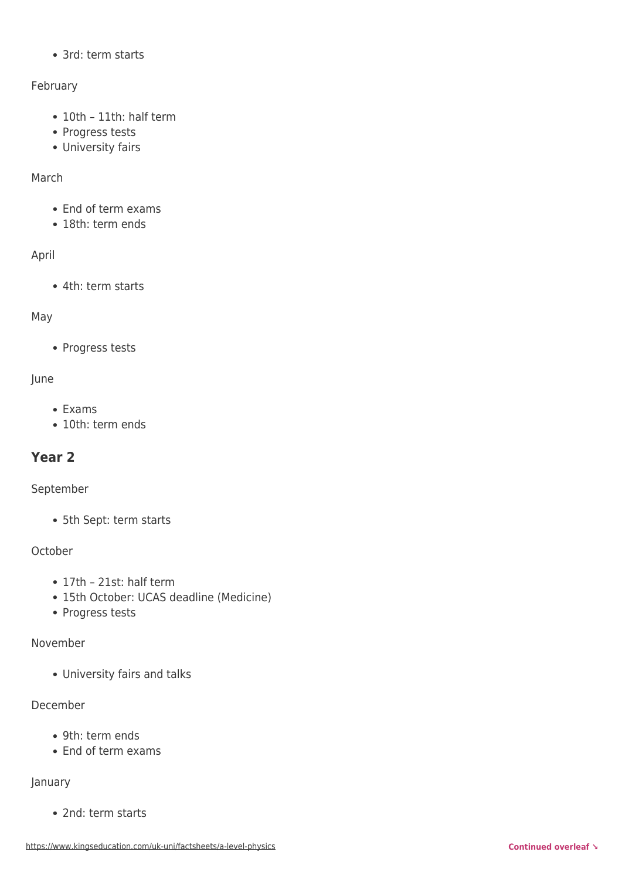• 3rd: term starts

#### February

- 10th 11th: half term
- Progress tests
- University fairs

#### March

- End of term exams
- 18th: term ends

#### April

4th: term starts

#### May

• Progress tests

#### June

- Exams
- 10th: term ends

## **Year 2**

#### September

5th Sept: term starts

#### **October**

- 17th 21st: half term
- 15th October: UCAS deadline (Medicine)
- Progress tests

#### November

University fairs and talks

#### December

- 9th: term ends
- End of term exams

#### January

• 2nd: term starts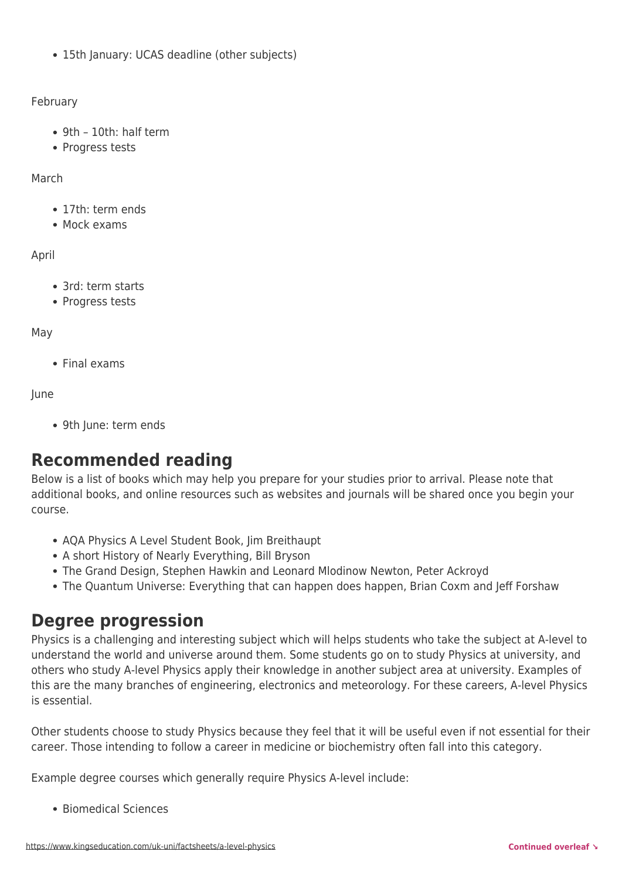• 15th January: UCAS deadline (other subjects)

#### February

- 9th 10th: half term
- Progress tests

#### March

- 17th: term ends
- Mock exams

#### April

- 3rd: term starts
- Progress tests

#### May

Final exams

#### June

9th June: term ends

# **Recommended reading**

Below is a list of books which may help you prepare for your studies prior to arrival. Please note that additional books, and online resources such as websites and journals will be shared once you begin your course.

- AQA Physics A Level Student Book, Jim Breithaupt
- A short History of Nearly Everything, Bill Bryson
- The Grand Design, Stephen Hawkin and Leonard Mlodinow Newton, Peter Ackroyd
- The Quantum Universe: Everything that can happen does happen, Brian Coxm and Jeff Forshaw

## **Degree progression**

Physics is a challenging and interesting subject which will helps students who take the subject at A-level to understand the world and universe around them. Some students go on to study Physics at university, and others who study A-level Physics apply their knowledge in another subject area at university. Examples of this are the many branches of engineering, electronics and meteorology. For these careers, A-level Physics is essential.

Other students choose to study Physics because they feel that it will be useful even if not essential for their career. Those intending to follow a career in medicine or biochemistry often fall into this category.

Example degree courses which generally require Physics A-level include:

Biomedical Sciences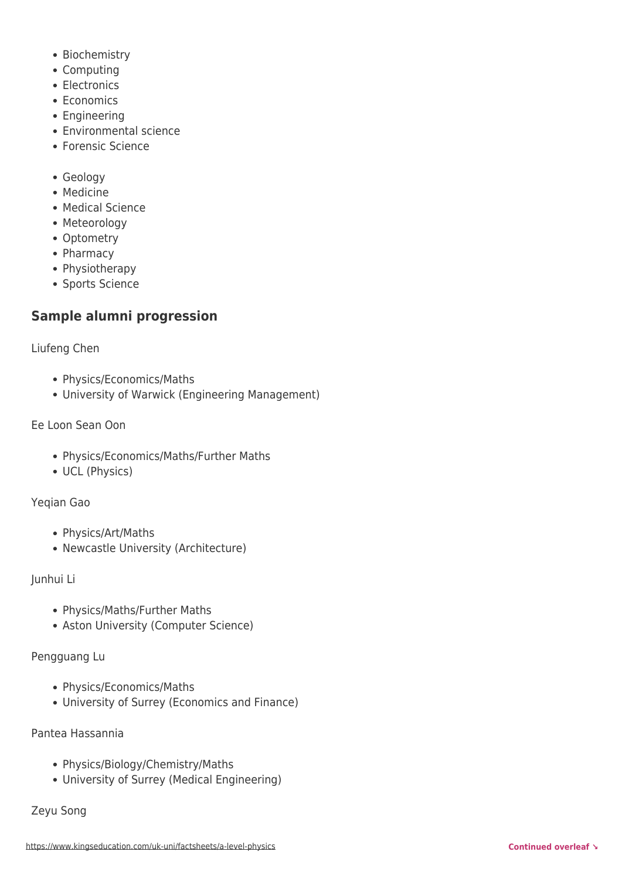- Biochemistry
- Computing
- Electronics
- Economics
- Engineering
- Environmental science
- Forensic Science
- Geology
- Medicine
- Medical Science
- Meteorology
- Optometry
- Pharmacy
- Physiotherapy
- Sports Science

## **Sample alumni progression**

Liufeng Chen

- Physics/Economics/Maths
- University of Warwick (Engineering Management)

Ee Loon Sean Oon

- Physics/Economics/Maths/Further Maths
- UCL (Physics)

Yeqian Gao

- Physics/Art/Maths
- Newcastle University (Architecture)

Junhui Li

- Physics/Maths/Further Maths
- Aston University (Computer Science)

Pengguang Lu

- Physics/Economics/Maths
- University of Surrey (Economics and Finance)

Pantea Hassannia

- Physics/Biology/Chemistry/Maths
- University of Surrey (Medical Engineering)

Zeyu Song